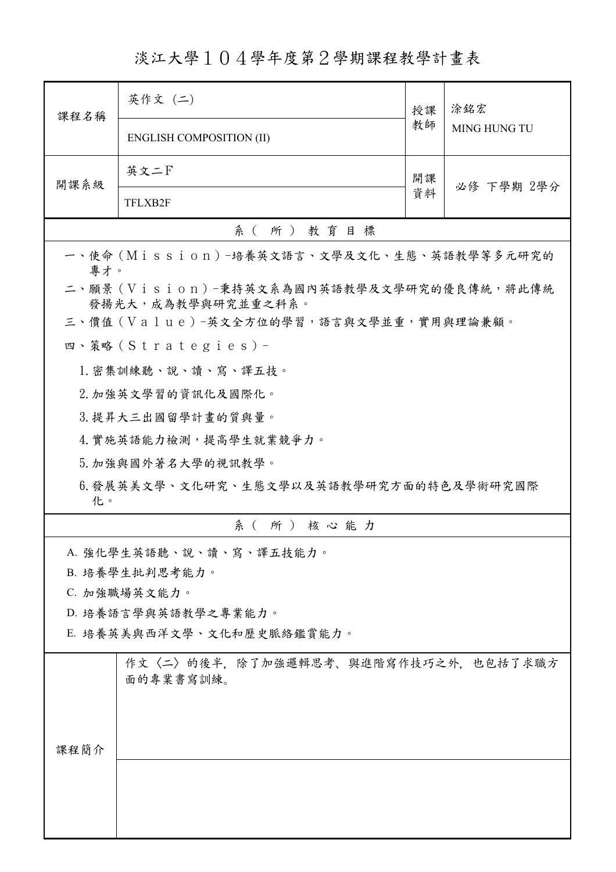淡江大學104學年度第2學期課程教學計畫表

| 課程名稱                                                             | 英作文 (二)                                          | 授課 | 涂銘宏<br>MING HUNG TU |  |  |
|------------------------------------------------------------------|--------------------------------------------------|----|---------------------|--|--|
|                                                                  | <b>ENGLISH COMPOSITION (II)</b>                  | 教師 |                     |  |  |
| 開課系級                                                             | 英文二F                                             | 開課 | 必修 下學期 2學分          |  |  |
|                                                                  | TFLXB2F                                          | 資料 |                     |  |  |
| 系(所)教育目標                                                         |                                                  |    |                     |  |  |
| 專才。                                                              | 一、使命 (Mission) -培養英文語言、文學及文化、生態、英語教學等多元研究的       |    |                     |  |  |
| 二、願景 (Vision)-秉持英文系為國內英語教學及文學研究的優良傳統,將此傳統<br>發揚光大, 成為教學與研究並重之科系。 |                                                  |    |                     |  |  |
|                                                                  | 三、價值 (Value)-英文全方位的學習,語言與文學並重,實用與理論兼顧。           |    |                     |  |  |
|                                                                  | 四、策略 (Strategies) -                              |    |                     |  |  |
|                                                                  | 1. 密集訓練聽、說、讀、寫、譯五技。                              |    |                     |  |  |
|                                                                  | 2. 加強英文學習的資訊化及國際化。                               |    |                     |  |  |
| 3. 提昇大三出國留學計畫的質與量。                                               |                                                  |    |                     |  |  |
|                                                                  | 4. 實施英語能力檢測,提高學生就業競爭力。                           |    |                     |  |  |
|                                                                  | 5. 加強與國外著名大學的視訊教學。                               |    |                     |  |  |
| 6.發展英美文學、文化研究、生態文學以及英語教學研究方面的特色及學術研究國際<br>化。                     |                                                  |    |                     |  |  |
| 系(所)核心能力                                                         |                                                  |    |                     |  |  |
|                                                                  | A. 強化學生英語聽、說、讀、寫、譯五技能力。                          |    |                     |  |  |
|                                                                  | B. 培養學生批判思考能力。                                   |    |                     |  |  |
|                                                                  | C. 加強職場英文能力。                                     |    |                     |  |  |
|                                                                  | D. 培養語言學與英語教學之專業能力。                              |    |                     |  |  |
|                                                                  | E. 培養英美與西洋文學、文化和歷史脈絡鑑賞能力。                        |    |                     |  |  |
| 课程简介                                                             | 作文〈二〉的後半,除了加強邏輯思考、與進階寫作技巧之外,也包括了求職方<br>面的專業書寫訓練。 |    |                     |  |  |
|                                                                  |                                                  |    |                     |  |  |
|                                                                  |                                                  |    |                     |  |  |
|                                                                  |                                                  |    |                     |  |  |
|                                                                  |                                                  |    |                     |  |  |
|                                                                  |                                                  |    |                     |  |  |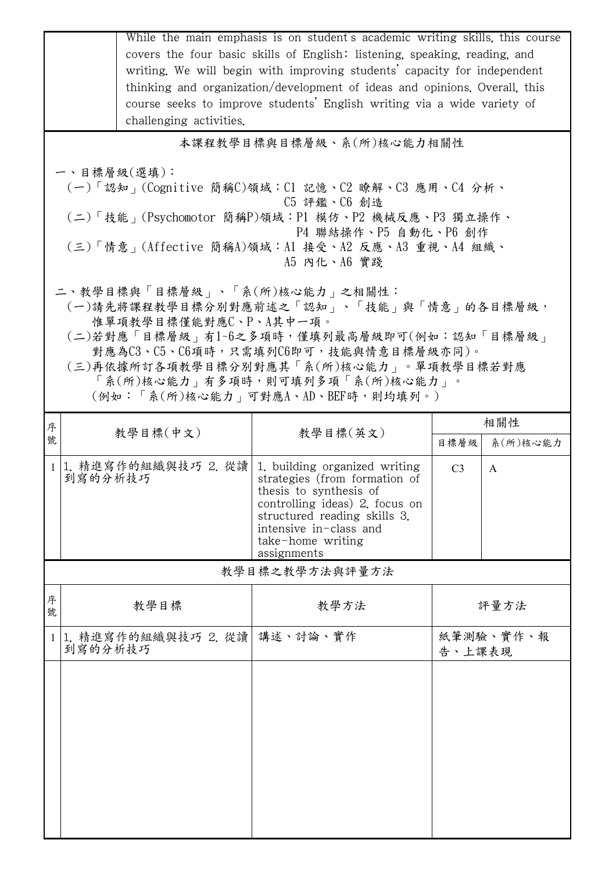|                                                                                                                                                                                                                                                                                                                                                                                                                                                                                                                                                                                  | challenging activities.         | While the main emphasis is on student's academic writing skills, this course<br>covers the four basic skills of English: listening, speaking, reading, and<br>writing. We will begin with improving students' capacity for independent<br>thinking and organization/development of ideas and opinions. Overall, this<br>course seeks to improve students' English writing via a wide variety of |                |                 |  |
|----------------------------------------------------------------------------------------------------------------------------------------------------------------------------------------------------------------------------------------------------------------------------------------------------------------------------------------------------------------------------------------------------------------------------------------------------------------------------------------------------------------------------------------------------------------------------------|---------------------------------|-------------------------------------------------------------------------------------------------------------------------------------------------------------------------------------------------------------------------------------------------------------------------------------------------------------------------------------------------------------------------------------------------|----------------|-----------------|--|
| 本課程教學目標與目標層級、系(所)核心能力相關性<br>一、目標層級(選填):<br>(一)「認知」(Cognitive 簡稱C)領域:C1 記憶、C2 瞭解、C3 應用、C4 分析、<br>C5 評鑑、C6 創造<br>(二)「技能」(Psychomotor 簡稱P)領域:P1 模仿、P2 機械反應、P3 獨立操作、<br>P4 聯結操作、P5 自動化、P6 創作<br>(三)「情意」(Affective 簡稱A)領域:A1 接受、A2 反應、A3 重視、A4 組織、<br>A5 内化、A6 實踐<br>二、教學目標與「目標層級」、「系(所)核心能力」之相關性:<br>(一)請先將課程教學目標分別對應前述之「認知」、「技能」與「情意」的各目標層級,<br>惟單項教學目標僅能對應C、P、A其中一項。<br>(二)若對應「目標層級」有1~6之多項時,僅填列最高層級即可(例如:認知「目標層級」<br>對應為C3、C5、C6項時,只需填列C6即可,技能與情意目標層級亦同)。<br>(三)再依據所訂各項教學目標分別對應其「系(所)核心能力」。單項教學目標若對應<br>「系(所)核心能力   有多項時,則可填列多項「系(所)核心能力」。<br>(例如:「系(所)核心能力   可對應A、AD、BEF時,則均填列。) |                                 |                                                                                                                                                                                                                                                                                                                                                                                                 |                |                 |  |
| 序<br>號                                                                                                                                                                                                                                                                                                                                                                                                                                                                                                                                                                           | 教學目標(中文)                        | 教學目標(英文)                                                                                                                                                                                                                                                                                                                                                                                        | 目標層級           | 相關性<br>系(所)核心能力 |  |
| $\mathbf{1}$                                                                                                                                                                                                                                                                                                                                                                                                                                                                                                                                                                     | 1. 精進寫作的組織與技巧 2. 從讀<br>到寫的分析技巧  | 1. building organized writing<br>strategies (from formation of<br>thesis to synthesis of<br>controlling ideas) 2 focus on<br>structured reading skills 3.<br>intensive in-class and<br>take-home writing<br>assignments                                                                                                                                                                         | C <sub>3</sub> | A               |  |
| 教學目標之教學方法與評量方法                                                                                                                                                                                                                                                                                                                                                                                                                                                                                                                                                                   |                                 |                                                                                                                                                                                                                                                                                                                                                                                                 |                |                 |  |
| 序<br>號                                                                                                                                                                                                                                                                                                                                                                                                                                                                                                                                                                           | 教學目標                            | 教學方法                                                                                                                                                                                                                                                                                                                                                                                            |                | 評量方法            |  |
| $\mathbf{1}$                                                                                                                                                                                                                                                                                                                                                                                                                                                                                                                                                                     | 1. 精進寫作的組織與技巧 2. 從讀 <br>到寫的分析技巧 | 講述、討論、實作                                                                                                                                                                                                                                                                                                                                                                                        | 告、上課表現         | 紙筆測驗、實作、報       |  |
|                                                                                                                                                                                                                                                                                                                                                                                                                                                                                                                                                                                  |                                 |                                                                                                                                                                                                                                                                                                                                                                                                 |                |                 |  |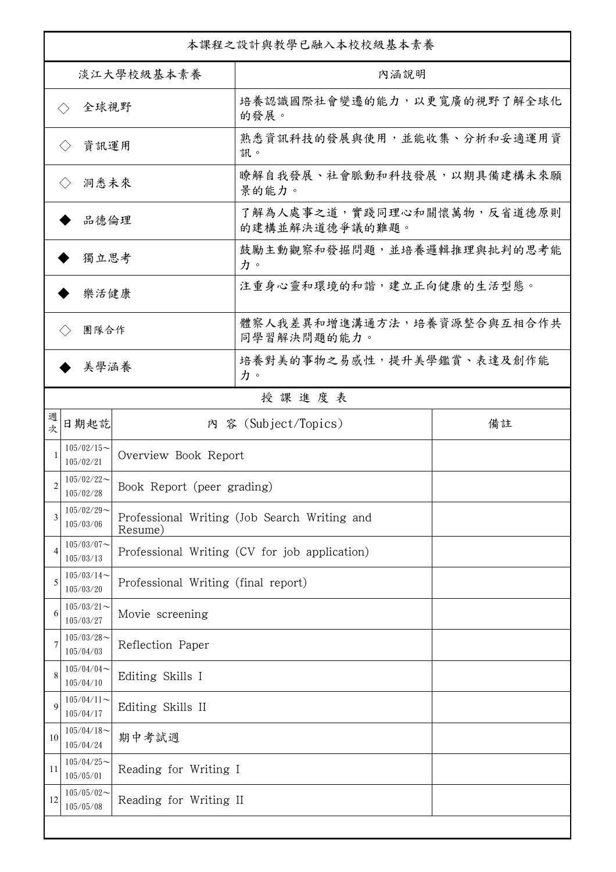| 本課程之設計與教學已融入本校校級基本素養        |                                                          |                                     |                                               |    |  |
|-----------------------------|----------------------------------------------------------|-------------------------------------|-----------------------------------------------|----|--|
| 淡江大學校級基本素養                  |                                                          |                                     | 內涵說明                                          |    |  |
| 全球視野<br>$\langle \ \rangle$ |                                                          |                                     | 培養認識國際社會變遷的能力,以更寬廣的視野了解全球化<br>的發展。            |    |  |
| 資訊運用<br>$\langle \ \rangle$ |                                                          |                                     | 熟悉資訊科技的發展與使用,並能收集、分析和妥適運用資<br>訊。              |    |  |
| 洞悉未來<br>$\langle \ \rangle$ |                                                          |                                     | 瞭解自我發展、社會脈動和科技發展,以期具備建構未來願<br>景的能力。           |    |  |
| 品德倫理                        |                                                          |                                     | 了解為人處事之道,實踐同理心和關懷萬物,反省道德原則<br>的建構並解決道德爭議的難題。  |    |  |
| 獨立思考                        |                                                          |                                     | 鼓勵主動觀察和發掘問題,並培養邏輯推理與批判的思考能<br>力。              |    |  |
| 樂活健康                        |                                                          |                                     | 注重身心靈和環境的和諧,建立正向健康的生活型態。                      |    |  |
| 團隊合作                        |                                                          |                                     | 體察人我差異和增進溝通方法,培養資源整合與互相合作共<br>同學習解決問題的能力。     |    |  |
| 美學涵養                        |                                                          |                                     | 培養對美的事物之易感性,提升美學鑑賞、表達及創作能<br>力。               |    |  |
|                             |                                                          |                                     | 授課進度表                                         |    |  |
| 週<br>欤                      | 日期起訖                                                     |                                     | 内 容 (Subject/Topics)                          | 備註 |  |
| 1                           | $105/02/15$ ~<br>105/02/21                               | Overview Book Report                |                                               |    |  |
| 2                           | $105/02/22$ ~<br>Book Report (peer grading)<br>105/02/28 |                                     |                                               |    |  |
| 3                           | $105/02/29$ ~<br>105/03/06                               | Resume)                             | Professional Writing (Job Search Writing and  |    |  |
| 4                           | $105/03/07$ ~<br>105/03/13                               |                                     | Professional Writing (CV for job application) |    |  |
| 5                           | $105/03/14$ ~<br>105/03/20                               | Professional Writing (final report) |                                               |    |  |
| 6                           | $105/03/21$ ~<br>105/03/27                               | Movie screening                     |                                               |    |  |
| 7                           | $105/03/28$ ~<br>105/04/03                               | Reflection Paper                    |                                               |    |  |
| 8                           | $105/04/04$ ~<br>105/04/10                               | Editing Skills I                    |                                               |    |  |
| 9                           | $105/04/11$ ~<br>105/04/17                               | Editing Skills II                   |                                               |    |  |
| 10                          | $105/04/18$ ~<br>105/04/24                               | 期中考試週                               |                                               |    |  |
| 11                          | $105/04/25$ ~<br>105/05/01                               | Reading for Writing I               |                                               |    |  |
| 12                          | $105/05/02$ ~<br>105/05/08                               | Reading for Writing II              |                                               |    |  |
|                             |                                                          |                                     |                                               |    |  |